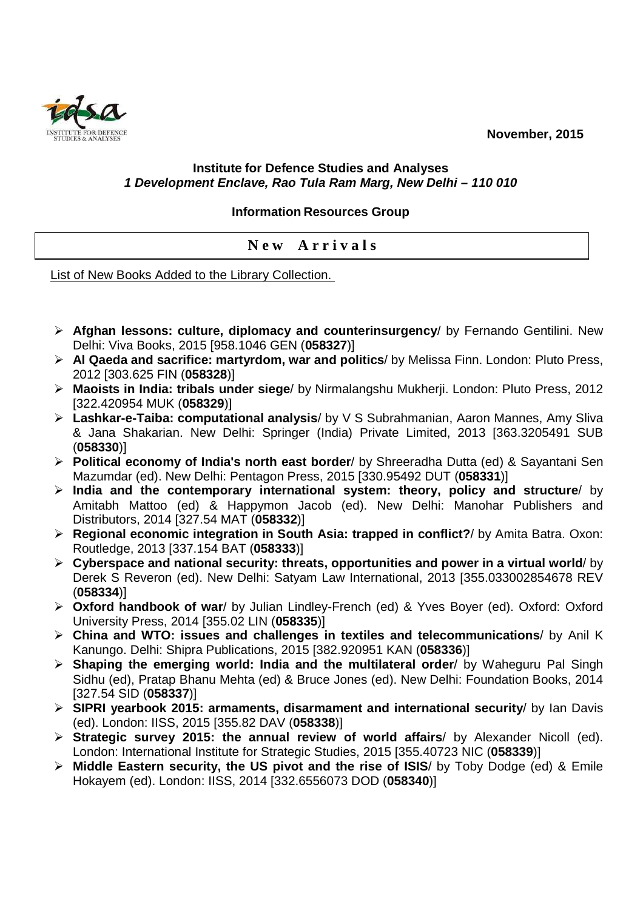**November, 2015** 



## **Institute for Defence Studies and Analyses 1 Development Enclave, Rao Tula Ram Marg, New Delhi – 110 010**

## **Information Resources Group**

**N e w A r r i v a l s** 

List of New Books Added to the Library Collection.

- **Afghan lessons: culture, diplomacy and counterinsurgency**/ by Fernando Gentilini. New Delhi: Viva Books, 2015 [958.1046 GEN (**058327**)]
- **Al Qaeda and sacrifice: martyrdom, war and politics**/ by Melissa Finn. London: Pluto Press, 2012 [303.625 FIN (**058328**)]
- **Maoists in India: tribals under siege**/ by Nirmalangshu Mukherji. London: Pluto Press, 2012 [322.420954 MUK (**058329**)]
- **Lashkar-e-Taiba: computational analysis**/ by V S Subrahmanian, Aaron Mannes, Amy Sliva & Jana Shakarian. New Delhi: Springer (India) Private Limited, 2013 [363.3205491 SUB (**058330**)]
- **Political economy of India's north east border**/ by Shreeradha Dutta (ed) & Sayantani Sen Mazumdar (ed). New Delhi: Pentagon Press, 2015 [330.95492 DUT (**058331**)]
- **India and the contemporary international system: theory, policy and structure**/ by Amitabh Mattoo (ed) & Happymon Jacob (ed). New Delhi: Manohar Publishers and Distributors, 2014 [327.54 MAT (**058332**)]
- **Regional economic integration in South Asia: trapped in conflict?**/ by Amita Batra. Oxon: Routledge, 2013 [337.154 BAT (**058333**)]
- **Cyberspace and national security: threats, opportunities and power in a virtual world**/ by Derek S Reveron (ed). New Delhi: Satyam Law International, 2013 [355.033002854678 REV (**058334**)]
- **Oxford handbook of war**/ by Julian Lindley-French (ed) & Yves Boyer (ed). Oxford: Oxford University Press, 2014 [355.02 LIN (**058335**)]
- **China and WTO: issues and challenges in textiles and telecommunications**/ by Anil K Kanungo. Delhi: Shipra Publications, 2015 [382.920951 KAN (**058336**)]
- **Shaping the emerging world: India and the multilateral order**/ by Waheguru Pal Singh Sidhu (ed), Pratap Bhanu Mehta (ed) & Bruce Jones (ed). New Delhi: Foundation Books, 2014 [327.54 SID (**058337**)]
- **SIPRI yearbook 2015: armaments, disarmament and international security**/ by Ian Davis (ed). London: IISS, 2015 [355.82 DAV (**058338**)]
- **Strategic survey 2015: the annual review of world affairs**/ by Alexander Nicoll (ed). London: International Institute for Strategic Studies, 2015 [355.40723 NIC (**058339**)]
- **Middle Eastern security, the US pivot and the rise of ISIS**/ by Toby Dodge (ed) & Emile Hokayem (ed). London: IISS, 2014 [332.6556073 DOD (**058340**)]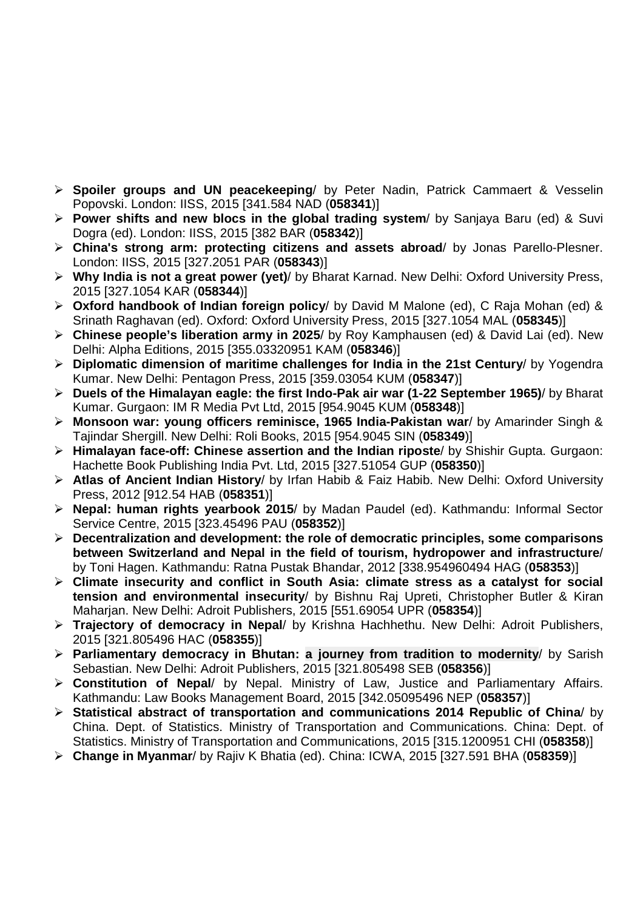- **Spoiler groups and UN peacekeeping**/ by Peter Nadin, Patrick Cammaert & Vesselin Popovski. London: IISS, 2015 [341.584 NAD (**058341**)]
- **Power shifts and new blocs in the global trading system**/ by Sanjaya Baru (ed) & Suvi Dogra (ed). London: IISS, 2015 [382 BAR (**058342**)]
- **China's strong arm: protecting citizens and assets abroad**/ by Jonas Parello-Plesner. London: IISS, 2015 [327.2051 PAR (**058343**)]
- **Why India is not a great power (yet)**/ by Bharat Karnad. New Delhi: Oxford University Press, 2015 [327.1054 KAR (**058344**)]
- **Oxford handbook of Indian foreign policy**/ by David M Malone (ed), C Raja Mohan (ed) & Srinath Raghavan (ed). Oxford: Oxford University Press, 2015 [327.1054 MAL (**058345**)]
- **Chinese people's liberation army in 2025**/ by Roy Kamphausen (ed) & David Lai (ed). New Delhi: Alpha Editions, 2015 [355.03320951 KAM (**058346**)]
- **Diplomatic dimension of maritime challenges for India in the 21st Century**/ by Yogendra Kumar. New Delhi: Pentagon Press, 2015 [359.03054 KUM (**058347**)]
- **Duels of the Himalayan eagle: the first Indo-Pak air war (1-22 September 1965)**/ by Bharat Kumar. Gurgaon: IM R Media Pvt Ltd, 2015 [954.9045 KUM (**058348**)]
- **Monsoon war: young officers reminisce, 1965 India-Pakistan war**/ by Amarinder Singh & Tajindar Shergill. New Delhi: Roli Books, 2015 [954.9045 SIN (**058349**)]
- **Himalayan face-off: Chinese assertion and the Indian riposte**/ by Shishir Gupta. Gurgaon: Hachette Book Publishing India Pvt. Ltd, 2015 [327.51054 GUP (**058350**)]
- **Atlas of Ancient Indian History**/ by Irfan Habib & Faiz Habib. New Delhi: Oxford University Press, 2012 [912.54 HAB (**058351**)]
- **Nepal: human rights yearbook 2015**/ by Madan Paudel (ed). Kathmandu: Informal Sector Service Centre, 2015 [323.45496 PAU (**058352**)]
- **Decentralization and development: the role of democratic principles, some comparisons between Switzerland and Nepal in the field of tourism, hydropower and infrastructure**/ by Toni Hagen. Kathmandu: Ratna Pustak Bhandar, 2012 [338.954960494 HAG (**058353**)]
- **Climate insecurity and conflict in South Asia: climate stress as a catalyst for social tension and environmental insecurity**/ by Bishnu Raj Upreti, Christopher Butler & Kiran Maharjan. New Delhi: Adroit Publishers, 2015 [551.69054 UPR (**058354**)]
- **Trajectory of democracy in Nepal**/ by Krishna Hachhethu. New Delhi: Adroit Publishers, 2015 [321.805496 HAC (**058355**)]
- **Parliamentary democracy in Bhutan: a journey from tradition to modernity**/ by Sarish Sebastian. New Delhi: Adroit Publishers, 2015 [321.805498 SEB (**058356**)]
- **Constitution of Nepal**/ by Nepal. Ministry of Law, Justice and Parliamentary Affairs. Kathmandu: Law Books Management Board, 2015 [342.05095496 NEP (**058357**)]
- **Statistical abstract of transportation and communications 2014 Republic of China**/ by China. Dept. of Statistics. Ministry of Transportation and Communications. China: Dept. of Statistics. Ministry of Transportation and Communications, 2015 [315.1200951 CHI (**058358**)]
- **Change in Myanmar**/ by Rajiv K Bhatia (ed). China: ICWA, 2015 [327.591 BHA (**058359**)]